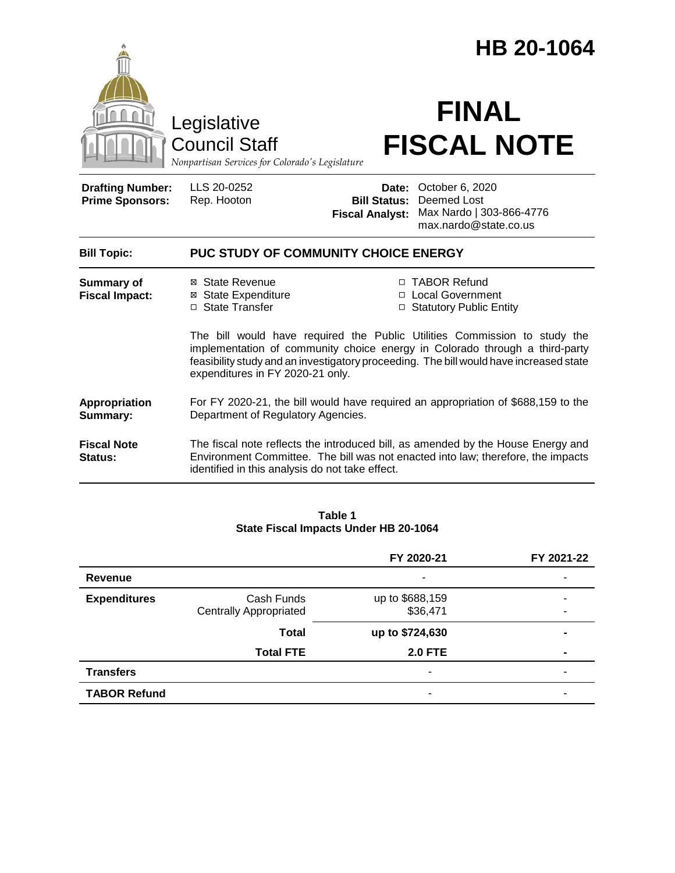|                                                   | Legislative<br><b>Council Staff</b>                                                                                     |                                                        | HB 20-1064<br><b>FINAL</b><br><b>FISCAL NOTE</b>                                                                                                                                                                                                                                                                        |  |
|---------------------------------------------------|-------------------------------------------------------------------------------------------------------------------------|--------------------------------------------------------|-------------------------------------------------------------------------------------------------------------------------------------------------------------------------------------------------------------------------------------------------------------------------------------------------------------------------|--|
| <b>Drafting Number:</b><br><b>Prime Sponsors:</b> | Nonpartisan Services for Colorado's Legislature<br>LLS 20-0252<br>Rep. Hooton                                           | Date:<br><b>Bill Status:</b><br><b>Fiscal Analyst:</b> | October 6, 2020<br>Deemed Lost<br>Max Nardo   303-866-4776<br>max.nardo@state.co.us                                                                                                                                                                                                                                     |  |
| <b>Bill Topic:</b>                                | PUC STUDY OF COMMUNITY CHOICE ENERGY                                                                                    |                                                        |                                                                                                                                                                                                                                                                                                                         |  |
| <b>Summary of</b><br><b>Fiscal Impact:</b>        | ⊠ State Revenue<br>⊠ State Expenditure<br>□ State Transfer<br>expenditures in FY 2020-21 only.                          |                                                        | □ TABOR Refund<br>□ Local Government<br>□ Statutory Public Entity<br>The bill would have required the Public Utilities Commission to study the<br>implementation of community choice energy in Colorado through a third-party<br>feasibility study and an investigatory proceeding. The bill would have increased state |  |
| <b>Appropriation</b><br>Summary:                  | For FY 2020-21, the bill would have required an appropriation of \$688,159 to the<br>Department of Regulatory Agencies. |                                                        |                                                                                                                                                                                                                                                                                                                         |  |
| <b>Fiscal Note</b><br>Status:                     | identified in this analysis do not take effect.                                                                         |                                                        | The fiscal note reflects the introduced bill, as amended by the House Energy and<br>Environment Committee. The bill was not enacted into law; therefore, the impacts                                                                                                                                                    |  |
|                                                   |                                                                                                                         |                                                        |                                                                                                                                                                                                                                                                                                                         |  |

#### **Table 1 State Fiscal Impacts Under HB 20-1064**

|                     |                               | FY 2020-21      | FY 2021-22     |
|---------------------|-------------------------------|-----------------|----------------|
| Revenue             |                               | ۰               | -              |
| <b>Expenditures</b> | Cash Funds                    | up to \$688,159 |                |
|                     | <b>Centrally Appropriated</b> | \$36,471        |                |
|                     | <b>Total</b>                  | up to \$724,630 |                |
|                     | <b>Total FTE</b>              | <b>2.0 FTE</b>  | $\blacksquare$ |
| <b>Transfers</b>    |                               | ۰               | ۰              |
| <b>TABOR Refund</b> |                               | -               |                |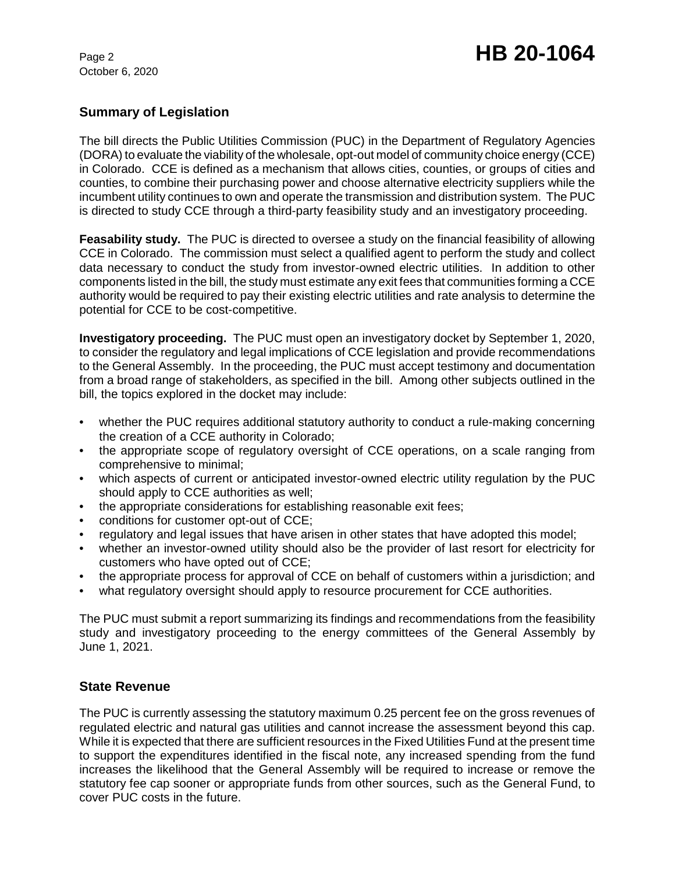October 6, 2020

## **Summary of Legislation**

The bill directs the Public Utilities Commission (PUC) in the Department of Regulatory Agencies (DORA) to evaluate the viability of the wholesale, opt-out model of community choice energy (CCE) in Colorado. CCE is defined as a mechanism that allows cities, counties, or groups of cities and counties, to combine their purchasing power and choose alternative electricity suppliers while the incumbent utility continues to own and operate the transmission and distribution system. The PUC is directed to study CCE through a third-party feasibility study and an investigatory proceeding.

**Feasability study.** The PUC is directed to oversee a study on the financial feasibility of allowing CCE in Colorado. The commission must select a qualified agent to perform the study and collect data necessary to conduct the study from investor-owned electric utilities. In addition to other components listed in the bill, the study must estimate any exit fees that communities forming a CCE authority would be required to pay their existing electric utilities and rate analysis to determine the potential for CCE to be cost-competitive.

**Investigatory proceeding.** The PUC must open an investigatory docket by September 1, 2020, to consider the regulatory and legal implications of CCE legislation and provide recommendations to the General Assembly. In the proceeding, the PUC must accept testimony and documentation from a broad range of stakeholders, as specified in the bill. Among other subjects outlined in the bill, the topics explored in the docket may include:

- whether the PUC requires additional statutory authority to conduct a rule-making concerning the creation of a CCE authority in Colorado;
- the appropriate scope of regulatory oversight of CCE operations, on a scale ranging from comprehensive to minimal;
- which aspects of current or anticipated investor-owned electric utility regulation by the PUC should apply to CCE authorities as well;
- the appropriate considerations for establishing reasonable exit fees;
- conditions for customer opt-out of CCE;
- regulatory and legal issues that have arisen in other states that have adopted this model;
- whether an investor-owned utility should also be the provider of last resort for electricity for customers who have opted out of CCE;
- the appropriate process for approval of CCE on behalf of customers within a jurisdiction; and
- what regulatory oversight should apply to resource procurement for CCE authorities.

The PUC must submit a report summarizing its findings and recommendations from the feasibility study and investigatory proceeding to the energy committees of the General Assembly by June 1, 2021.

## **State Revenue**

The PUC is currently assessing the statutory maximum 0.25 percent fee on the gross revenues of regulated electric and natural gas utilities and cannot increase the assessment beyond this cap. While it is expected that there are sufficient resources in the Fixed Utilities Fund at the present time to support the expenditures identified in the fiscal note, any increased spending from the fund increases the likelihood that the General Assembly will be required to increase or remove the statutory fee cap sooner or appropriate funds from other sources, such as the General Fund, to cover PUC costs in the future.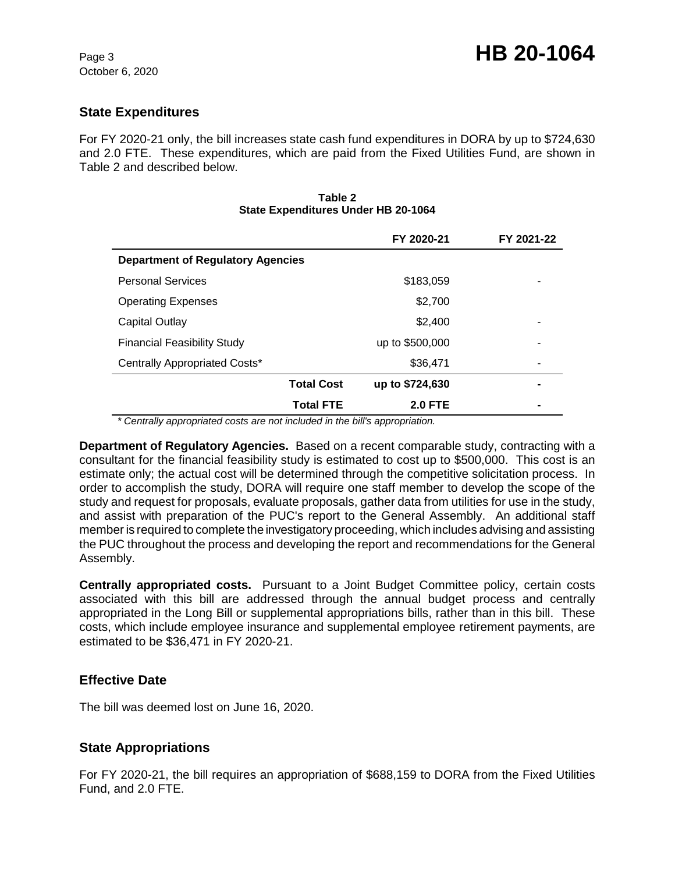## **State Expenditures**

For FY 2020-21 only, the bill increases state cash fund expenditures in DORA by up to \$724,630 and 2.0 FTE. These expenditures, which are paid from the Fixed Utilities Fund, are shown in Table 2 and described below.

|                                          | FY 2020-21      | FY 2021-22 |
|------------------------------------------|-----------------|------------|
| <b>Department of Regulatory Agencies</b> |                 |            |
| <b>Personal Services</b>                 | \$183,059       |            |
| <b>Operating Expenses</b>                | \$2,700         |            |
| Capital Outlay                           | \$2,400         |            |
| <b>Financial Feasibility Study</b>       | up to \$500,000 |            |
| Centrally Appropriated Costs*            | \$36,471        |            |
| <b>Total Cost</b>                        | up to \$724,630 |            |
| <b>Total FTE</b>                         | <b>2.0 FTE</b>  |            |

#### **Table 2 State Expenditures Under HB 20-1064**

 *\* Centrally appropriated costs are not included in the bill's appropriation.*

**Department of Regulatory Agencies.** Based on a recent comparable study, contracting with a consultant for the financial feasibility study is estimated to cost up to \$500,000. This cost is an estimate only; the actual cost will be determined through the competitive solicitation process. In order to accomplish the study, DORA will require one staff member to develop the scope of the study and request for proposals, evaluate proposals, gather data from utilities for use in the study, and assist with preparation of the PUC's report to the General Assembly. An additional staff member is required to complete the investigatory proceeding, which includes advising and assisting the PUC throughout the process and developing the report and recommendations for the General Assembly.

**Centrally appropriated costs.** Pursuant to a Joint Budget Committee policy, certain costs associated with this bill are addressed through the annual budget process and centrally appropriated in the Long Bill or supplemental appropriations bills, rather than in this bill. These costs, which include employee insurance and supplemental employee retirement payments, are estimated to be \$36,471 in FY 2020-21.

## **Effective Date**

The bill was deemed lost on June 16, 2020.

## **State Appropriations**

For FY 2020-21, the bill requires an appropriation of \$688,159 to DORA from the Fixed Utilities Fund, and 2.0 FTE.